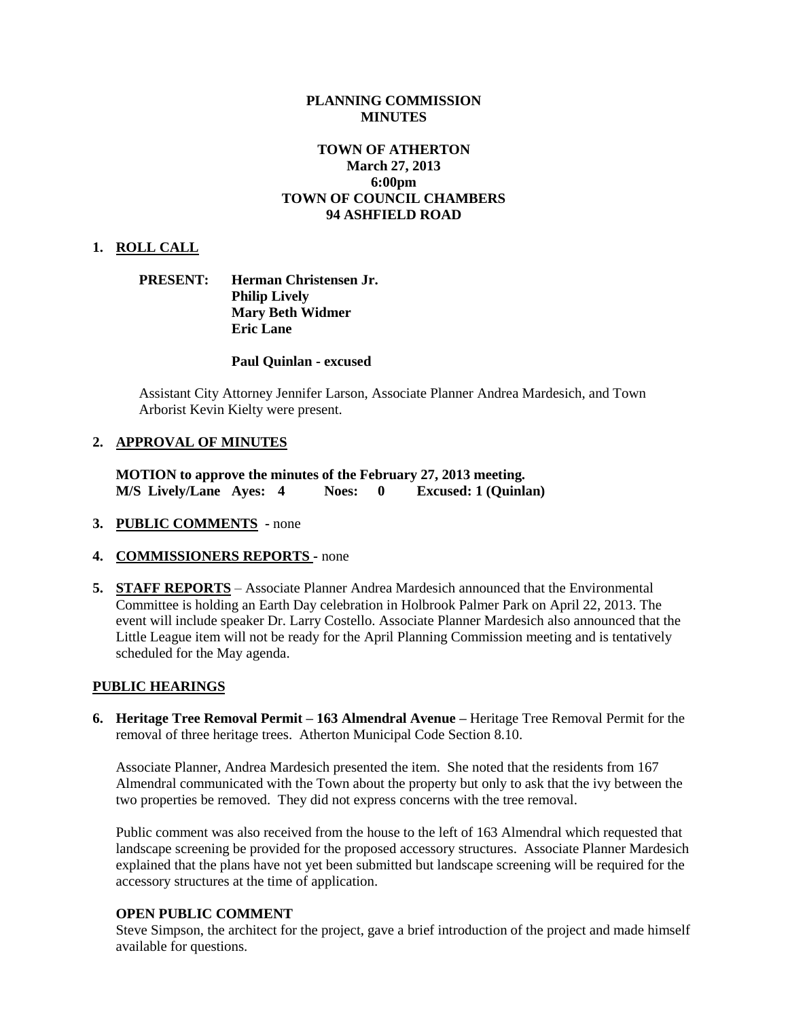## **PLANNING COMMISSION MINUTES**

# **TOWN OF ATHERTON March 27, 2013 6:00pm TOWN OF COUNCIL CHAMBERS 94 ASHFIELD ROAD**

## **1. ROLL CALL**

## **PRESENT: Herman Christensen Jr. Philip Lively Mary Beth Widmer Eric Lane**

### **Paul Quinlan - excused**

Assistant City Attorney Jennifer Larson, Associate Planner Andrea Mardesich, and Town Arborist Kevin Kielty were present.

### **2. APPROVAL OF MINUTES**

**MOTION to approve the minutes of the February 27, 2013 meeting. M/S Lively/Lane Ayes: 4 Noes: 0 Excused: 1 (Quinlan)**

- **3. PUBLIC COMMENTS -** none
- **4. COMMISSIONERS REPORTS -** none
- **5. STAFF REPORTS** Associate Planner Andrea Mardesich announced that the Environmental Committee is holding an Earth Day celebration in Holbrook Palmer Park on April 22, 2013. The event will include speaker Dr. Larry Costello. Associate Planner Mardesich also announced that the Little League item will not be ready for the April Planning Commission meeting and is tentatively scheduled for the May agenda.

#### **PUBLIC HEARINGS**

**6. Heritage Tree Removal Permit – 163 Almendral Avenue –** Heritage Tree Removal Permit for the removal of three heritage trees. Atherton Municipal Code Section 8.10.

Associate Planner, Andrea Mardesich presented the item. She noted that the residents from 167 Almendral communicated with the Town about the property but only to ask that the ivy between the two properties be removed. They did not express concerns with the tree removal.

Public comment was also received from the house to the left of 163 Almendral which requested that landscape screening be provided for the proposed accessory structures. Associate Planner Mardesich explained that the plans have not yet been submitted but landscape screening will be required for the accessory structures at the time of application.

### **OPEN PUBLIC COMMENT**

Steve Simpson, the architect for the project, gave a brief introduction of the project and made himself available for questions.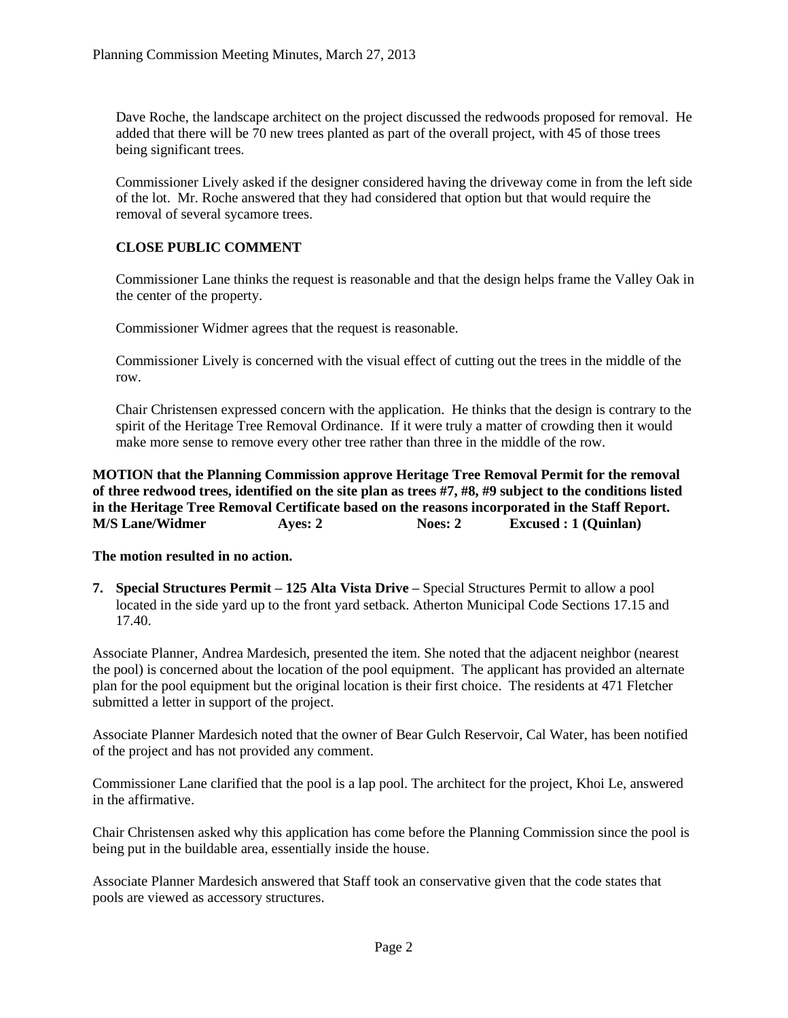Dave Roche, the landscape architect on the project discussed the redwoods proposed for removal. He added that there will be 70 new trees planted as part of the overall project, with 45 of those trees being significant trees.

Commissioner Lively asked if the designer considered having the driveway come in from the left side of the lot. Mr. Roche answered that they had considered that option but that would require the removal of several sycamore trees.

# **CLOSE PUBLIC COMMENT**

Commissioner Lane thinks the request is reasonable and that the design helps frame the Valley Oak in the center of the property.

Commissioner Widmer agrees that the request is reasonable.

Commissioner Lively is concerned with the visual effect of cutting out the trees in the middle of the row.

Chair Christensen expressed concern with the application. He thinks that the design is contrary to the spirit of the Heritage Tree Removal Ordinance. If it were truly a matter of crowding then it would make more sense to remove every other tree rather than three in the middle of the row.

**MOTION that the Planning Commission approve Heritage Tree Removal Permit for the removal of three redwood trees, identified on the site plan as trees #7, #8, #9 subject to the conditions listed in the Heritage Tree Removal Certificate based on the reasons incorporated in the Staff Report. M/S Lane/Widmer Ayes: 2 Noes: 2 Excused : 1 (Quinlan)**

## **The motion resulted in no action.**

**7. Special Structures Permit – 125 Alta Vista Drive –** Special Structures Permit to allow a pool located in the side yard up to the front yard setback. Atherton Municipal Code Sections 17.15 and 17.40.

Associate Planner, Andrea Mardesich, presented the item. She noted that the adjacent neighbor (nearest the pool) is concerned about the location of the pool equipment. The applicant has provided an alternate plan for the pool equipment but the original location is their first choice. The residents at 471 Fletcher submitted a letter in support of the project.

Associate Planner Mardesich noted that the owner of Bear Gulch Reservoir, Cal Water, has been notified of the project and has not provided any comment.

Commissioner Lane clarified that the pool is a lap pool. The architect for the project, Khoi Le, answered in the affirmative.

Chair Christensen asked why this application has come before the Planning Commission since the pool is being put in the buildable area, essentially inside the house.

Associate Planner Mardesich answered that Staff took an conservative given that the code states that pools are viewed as accessory structures.